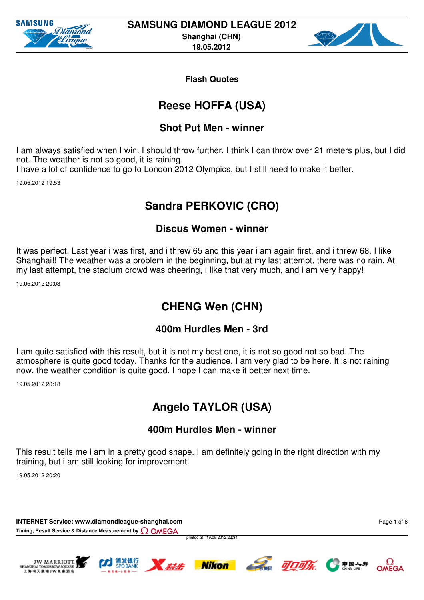



## **Reese HOFFA (USA)**

### **Shot Put Men - winner**

I am always satisfied when I win. I should throw further. I think I can throw over 21 meters plus, but I did not. The weather is not so good, it is raining.

I have a lot of confidence to go to London 2012 Olympics, but I still need to make it better.

19.05.2012 19:53

## **Sandra PERKOVIC (CRO)**

### **Discus Women - winner**

It was perfect. Last year i was first, and i threw 65 and this year i am again first, and i threw 68. I like Shanghai!! The weather was a problem in the beginning, but at my last attempt, there was no rain. At my last attempt, the stadium crowd was cheering, I like that very much, and i am very happy!

19.05.2012 20:03

## **CHENG Wen (CHN)**

### **400m Hurdles Men - 3rd**

I am quite satisfied with this result, but it is not my best one, it is not so good not so bad. The atmosphere is quite good today. Thanks for the audience. I am very glad to be here. It is not raining now, the weather condition is quite good. I hope I can make it better next time.

19.05.2012 20:18

# **Angelo TAYLOR (USA)**

### **400m Hurdles Men - winner**

This result tells me i am in a pretty good shape. I am definitely going in the right direction with my training, but i am still looking for improvement.

19.05.2012 20:20

**INTERNET Service: www.diamondleague-shanghai.com Timing, Result Service & Distance Measurement by**

printed at 19.05.2012 22:34











Page 1 of 6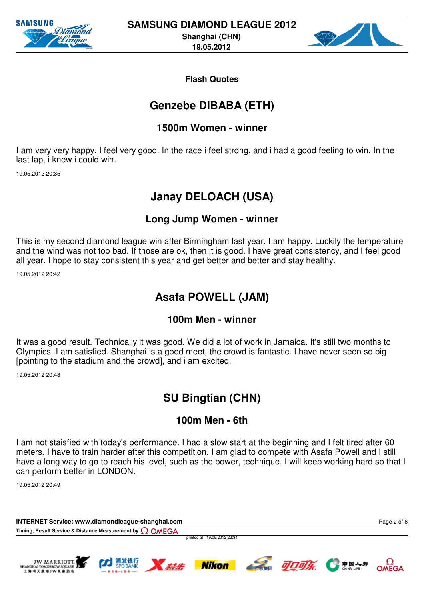



### **Genzebe DIBABA (ETH)**

#### **1500m Women - winner**

I am very very happy. I feel very good. In the race i feel strong, and i had a good feeling to win. In the last lap, i knew i could win.

19.05.2012 20:35

### **Janay DELOACH (USA)**

#### **Long Jump Women - winner**

This is my second diamond league win after Birmingham last year. I am happy. Luckily the temperature and the wind was not too bad. If those are ok, then it is good. I have great consistency, and I feel good all year. I hope to stay consistent this year and get better and better and stay healthy.

19.05.2012 20:42

## **Asafa POWELL (JAM)**

#### **100m Men - winner**

It was a good result. Technically it was good. We did a lot of work in Jamaica. It's still two months to Olympics. I am satisfied. Shanghai is a good meet, the crowd is fantastic. I have never seen so big [pointing to the stadium and the crowd], and i am excited.

19.05.2012 20:48

## **SU Bingtian (CHN)**

#### **100m Men - 6th**

I am not staisfied with today's performance. I had a slow start at the beginning and I felt tired after 60 meters. I have to train harder after this competition. I am glad to compete with Asafa Powell and I still have a long way to go to reach his level, such as the power, technique. I will keep working hard so that I can perform better in LONDON.

19.05.2012 20:49

**INTERNET Service: www.diamondleague-shanghai.com Timing, Result Service & Distance Measurement by** printed at 19.05.2012 22:34 Page 2 of 6









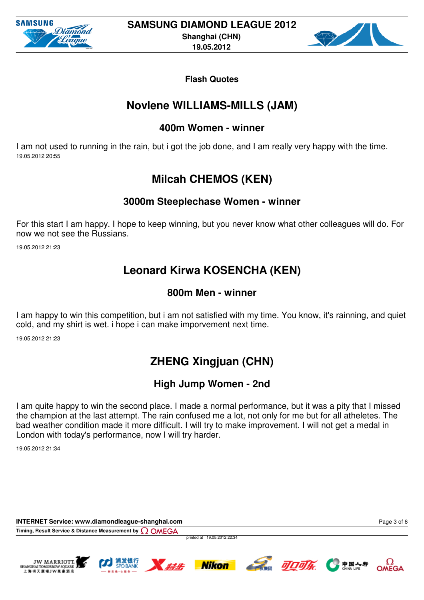



### **Novlene WILLIAMS-MILLS (JAM)**

#### **400m Women - winner**

I am not used to running in the rain, but i got the job done, and I am really very happy with the time. 19.05.2012 20:55

# **Milcah CHEMOS (KEN)**

### **3000m Steeplechase Women - winner**

For this start I am happy. I hope to keep winning, but you never know what other colleagues will do. For now we not see the Russians.

19.05.2012 21:23

# **Leonard Kirwa KOSENCHA (KEN)**

### **800m Men - winner**

I am happy to win this competition, but i am not satisfied with my time. You know, it's rainning, and quiet cold, and my shirt is wet. i hope i can make imporvement next time.

19.05.2012 21:23

# **ZHENG Xingjuan (CHN)**

### **High Jump Women - 2nd**

I am quite happy to win the second place. I made a normal performance, but it was a pity that I missed the champion at the last attempt. The rain confused me a lot, not only for me but for all atheletes. The bad weather condition made it more difficult. I will try to make improvement. I will not get a medal in London with today's performance, now I will try harder.

19.05.2012 21:34

**INTERNET Service: www.diamondleague-shanghai.com** Page 3 of 6**Timing, Result Service & Distance Measurement by** printed at 19.05.2012 22:34 JW MARRIOTT. **CA. JOJA** N ### **Nikon** SHANGHAI TOMORROW SQUARE OMEGA 上海明天廣場IW草書酒店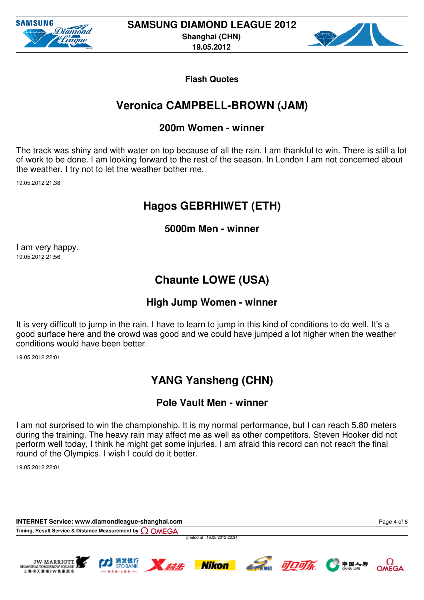



## **Veronica CAMPBELL-BROWN (JAM)**

#### **200m Women - winner**

The track was shiny and with water on top because of all the rain. I am thankful to win. There is still a lot of work to be done. I am looking forward to the rest of the season. In London I am not concerned about the weather. I try not to let the weather bother me.

19.05.2012 21:38

## **Hagos GEBRHIWET (ETH)**

**5000m Men - winner**

I am very happy. 19.05.2012 21:56

# **Chaunte LOWE (USA)**

### **High Jump Women - winner**

It is very difficult to jump in the rain. I have to learn to jump in this kind of conditions to do well. It's a good surface here and the crowd was good and we could have jumped a lot higher when the weather conditions would have been better.

19.05.2012 22:01

# **YANG Yansheng (CHN)**

### **Pole Vault Men - winner**

I am not surprised to win the championship. It is my normal performance, but I can reach 5.80 meters during the training. The heavy rain may affect me as well as other competitors. Steven Hooker did not perform well today, I think he might get some injuries. I am afraid this record can not reach the final round of the Olympics. I wish I could do it better.

19.05.2012 22:01

**INTERNET Service: www.diamondleague-shanghai.com Timing, Result Service & Distance Measurement by Q OMEGA** 

printed at 19.05.2012 22:34











Page 4 of 6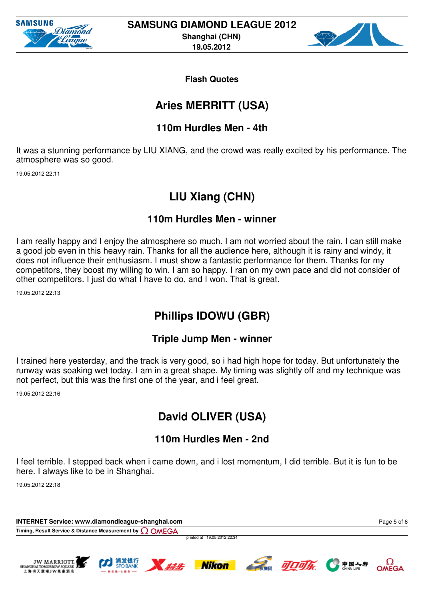



## **Aries MERRITT (USA)**

### **110m Hurdles Men - 4th**

It was a stunning performance by LIU XIANG, and the crowd was really excited by his performance. The atmosphere was so good.

19.05.2012 22:11

## **LIU Xiang (CHN)**

### **110m Hurdles Men - winner**

I am really happy and I enjoy the atmosphere so much. I am not worried about the rain. I can still make a good job even in this heavy rain. Thanks for all the audience here, although it is rainy and windy, it does not influence their enthusiasm. I must show a fantastic performance for them. Thanks for my competitors, they boost my willing to win. I am so happy. I ran on my own pace and did not consider of other competitors. I just do what I have to do, and I won. That is great.

19.05.2012 22:13

# **Phillips IDOWU (GBR)**

### **Triple Jump Men - winner**

I trained here yesterday, and the track is very good, so i had high hope for today. But unfortunately the runway was soaking wet today. I am in a great shape. My timing was slightly off and my technique was not perfect, but this was the first one of the year, and i feel great.

19.05.2012 22:16

# **David OLIVER (USA)**

### **110m Hurdles Men - 2nd**

I feel terrible. I stepped back when i came down, and i lost momentum, I did terrible. But it is fun to be here. I always like to be in Shanghai.

19.05.2012 22:18

**INTERNET Service: www.diamondleague-shanghai.com Timing, Result Service & Distance Measurement by**

printed at 19.05.2012 22:34











Page 5 of 6